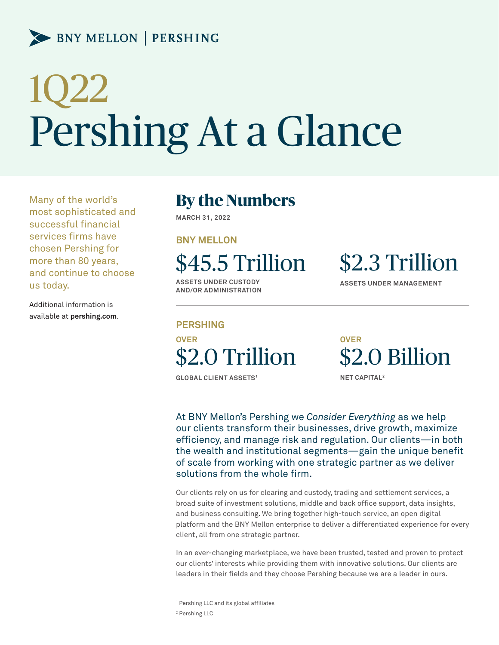### BNY MELLON | PERSHING

# 1Q22 Pershing At a Glance

Many of the world's most sophisticated and successful financial services firms have chosen Pershing for more than 80 years, and continue to choose us today.

Additional information is available at **pershing.com**.

### **By the Numbers**

**MARCH 31, 2022**

**BNY MELLON**

\$45.5 Trillion

**ASSETS UNDER CUSTODY AND/OR ADMINISTRATION** 

**PERSHING OVER** \$2.0 Trillion

**GLOBAL CLIENT ASSETS1**

\$2.3 Trillion

**ASSETS UNDER MANAGEMENT** 

\$2.0 Billion

**OVER**

**NET CAPITAL2**

At BNY Mellon's Pershing we *Consider Everything* as we help our clients transform their businesses, drive growth, maximize efficiency, and manage risk and regulation. Our clients—in both the wealth and institutional segments—gain the unique benefit of scale from working with one strategic partner as we deliver solutions from the whole firm.

Our clients rely on us for clearing and custody, trading and settlement services, a broad suite of investment solutions, middle and back office support, data insights, and business consulting. We bring together high-touch service, an open digital platform and the BNY Mellon enterprise to deliver a differentiated experience for every client, all from one strategic partner.

In an ever-changing marketplace, we have been trusted, tested and proven to protect our clients' interests while providing them with innovative solutions. Our clients are leaders in their fields and they choose Pershing because we are a leader in ours.

1 Pershing LLC and its global affiliates 2 Pershing LLC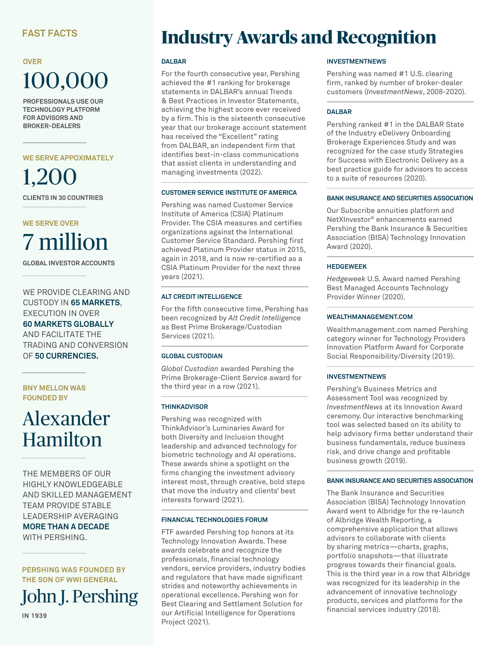### **OVER** 100,000

**PROFESSIONALS USE OUR TECHNOLOGY PLATFORM FOR ADVISORS AND BROKER-DEALERS**

**WE SERVE APPOXIMATELY**

1,200 **CLIENTS IN 30 COUNTRIES**

### **WE SERVE OVER** 7 million

**GLOBAL INVESTOR ACCOUNTS**

WE PROVIDE CLEARING AND CUSTODY IN **65 MARKETS**, EXECUTION IN OVER **60 MARKETS GLOBALLY**

AND FACILITATE THE TRADING AND CONVERSION OF **50 CURRENCIES.**

**BNY MELLON WAS FOUNDED BY**

## Alexander Hamilton

THE MEMBERS OF OUR HIGHLY KNOWLEDGEABLE AND SKILLED MANAGEMENT TEAM PROVIDE STABLE LEADERSHIP AVERAGING **MORE THAN A DECADE**  WITH PERSHING.

**PERSHING WAS FOUNDED BY THE SON OF WWI GENERAL**

John J. Pershing

**IN 1939**

### **Industry Awards and Recognition**

#### **DALBAR**

For the fourth consecutive year, Pershing achieved the #1 ranking for brokerage statements in DALBAR's annual Trends & Best Practices in Investor Statements, achieving the highest score ever received by a firm. This is the sixteenth consecutive year that our brokerage account statement has received the "Excellent" rating from DALBAR, an independent firm that identifies best-in-class communications that assist clients in understanding and managing investments (2022).

#### **CUSTOMER SERVICE INSTITUTE OF AMERICA**

Pershing was named Customer Service Institute of America (CSIA) Platinum Provider. The CSIA measures and certifies organizations against the International Customer Service Standard. Pershing first achieved Platinum Provider status in 2015, again in 2018, and is now re-certified as a CSIA Platinum Provider for the next three years (2021).

#### **ALT CREDIT INTELLIGENCE**

For the fifth consecutive time, Pershing has been recognized by *Alt Credit Intelligence* as Best Prime Brokerage/Custodian Services (2021).

### **GLOBAL CUSTODIAN**

*Global Custodian* awarded Pershing the Prime Brokerage-Client Service award for the third year in a row (2021).

### **THINKADVISOR**

Pershing was recognized with ThinkAdvisor's Luminaries Award for both Diversity and Inclusion thought leadership and advanced technology for biometric technology and AI operations. These awards shine a spotlight on the firms changing the investment advisory interest most, through creative, bold steps that move the industry and clients' best interests forward (2021).

#### **FINANCIAL TECHNOLOGIES FORUM**

FTF awarded Pershing top honors at its Technology Innovation Awards. These awards celebrate and recognize the professionals, financial technology vendors, service providers, industry bodies and regulators that have made significant strides and noteworthy achievements in operational excellence. Pershing won for Best Clearing and Settlement Solution for our Artificial Intelligence for Operations Project (2021).

#### **INVESTMENTNEWS**

Pershing was named #1 U.S. clearing firm, ranked by number of broker-dealer customers (*InvestmentNews*, 2008-2020).

#### **DALBAR**

Pershing ranked #1 in the DALBAR State of the Industry eDelivery Onboarding Brokerage Experiences Study and was recognized for the case study Strategies for Success with Electronic Delivery as a best practice guide for advisors to access to a suite of resources (2020).

#### **BANK INSURANCE AND SECURITIES ASSOCIATION**

Our Subscribe annuities platform and NetXInvestor® enhancements earned Pershing the Bank Insurance & Securities Association (BISA) Technology Innovation Award (2020).

#### **HEDGEWEEK**

*Hedgeweek* U.S. Award named Pershing Best Managed Accounts Technology Provider Winner (2020).

#### **WEALTHMANAGEMENT.COM**

Wealthmanagement.com named Pershing category winner for Technology Providers Innovation Platform Award for Corporate Social Responsibility/Diversity (2019).

### **INVESTMENTNEWS**

Pershing's Business Metrics and Assessment Tool was recognized by *InvestmentNews* at its Innovation Award ceremony. Our interactive benchmarking tool was selected based on its ability to help advisory firms better understand their business fundamentals, reduce business risk, and drive change and profitable business growth (2019).

#### **BANK INSURANCE AND SECURITIES ASSOCIATION**

The Bank Insurance and Securities Association (BISA) Technology Innovation Award went to Albridge for the re-launch of Albridge Wealth Reporting, a comprehensive application that allows advisors to collaborate with clients by sharing metrics—charts, graphs, portfolio snapshots—that illustrate progress towards their financial goals. This is the third year in a row that Albridge was recognized for its leadership in the advancement of innovative technology products, services and platforms for the financial services industry (2018).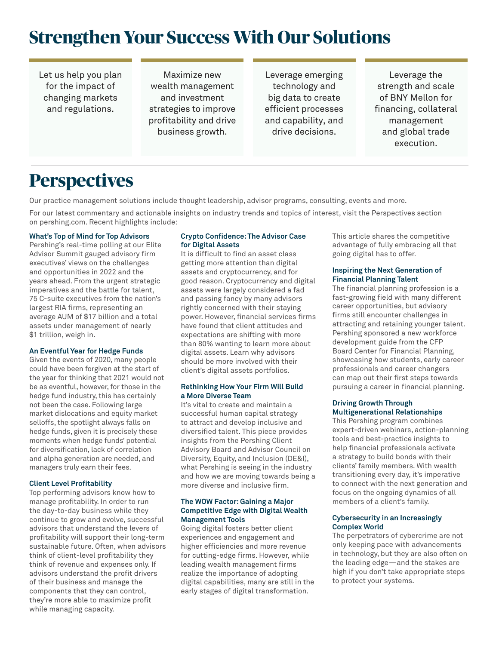### **Strengthen Your Success With Our Solutions**

Let us help you plan for the impact of changing markets and regulations.

Maximize new wealth management and investment strategies to improve profitability and drive business growth.

Leverage emerging technology and big data to create efficient processes and capability, and drive decisions.

Leverage the strength and scale of BNY Mellon for financing, collateral management and global trade execution.

### **Perspectives**

Our practice management solutions include thought leadership, advisor programs, consulting, events and more.

For our latest commentary and actionable insights on industry trends and topics of interest, visit the Perspectives section on pershing.com. Recent highlights include:

#### **What's Top of Mind for Top Advisors**

Pershing's real-time polling at our Elite Advisor Summit gauged advisory firm executives' views on the challenges and opportunities in 2022 and the years ahead. From the urgent strategic imperatives and the battle for talent, 75 C-suite executives from the nation's largest RIA firms, representing an average AUM of \$17 billion and a total assets under management of nearly \$1 trillion, weigh in.

#### **An Eventful Year for Hedge Funds**

Given the events of 2020, many people could have been forgiven at the start of the year for thinking that 2021 would not be as eventful, however, for those in the hedge fund industry, this has certainly not been the case. Following large market dislocations and equity market selloffs, the spotlight always falls on hedge funds, given it is precisely these moments when hedge funds' potential for diversification, lack of correlation and alpha generation are needed, and managers truly earn their fees.

#### **Client Level Profitability**

Top performing advisors know how to manage profitability. In order to run the day-to-day business while they continue to grow and evolve, successful advisors that understand the levers of profitability will support their long-term sustainable future. Often, when advisors think of client-level profitability they think of revenue and expenses only. If advisors understand the profit drivers of their business and manage the components that they can control, they're more able to maximize profit while managing capacity.

#### **Crypto Confidence: The Advisor Case for Digital Assets**

It is difficult to find an asset class getting more attention than digital assets and cryptocurrency, and for good reason. Cryptocurrency and digital assets were largely considered a fad and passing fancy by many advisors rightly concerned with their staying power. However, financial services firms have found that client attitudes and expectations are shifting with more than 80% wanting to learn more about digital assets. Learn why advisors should be more involved with their client's digital assets portfolios.

#### **Rethinking How Your Firm Will Build a More Diverse Team**

It's vital to create and maintain a successful human capital strategy to attract and develop inclusive and diversified talent. This piece provides insights from the Pershing Client Advisory Board and Advisor Council on Diversity, Equity, and Inclusion (DE&I), what Pershing is seeing in the industry and how we are moving towards being a more diverse and inclusive firm.

#### **The WOW Factor: Gaining a Major Competitive Edge with Digital Wealth Management Tools**

Going digital fosters better client experiences and engagement and higher efficiencies and more revenue for cutting-edge firms. However, while leading wealth management firms realize the importance of adopting digital capabilities, many are still in the early stages of digital transformation.

This article shares the competitive advantage of fully embracing all that going digital has to offer.

#### **Inspiring the Next Generation of Financial Planning Talent**

The financial planning profession is a fast-growing field with many different career opportunities, but advisory firms still encounter challenges in attracting and retaining younger talent. Pershing sponsored a new workforce development guide from the CFP Board Center for Financial Planning, showcasing how students, early career professionals and career changers can map out their first steps towards pursuing a career in financial planning.

#### **Driving Growth Through Multigenerational Relationships**

This Pershing program combines expert-driven webinars, action-planning tools and best-practice insights to help financial professionals activate a strategy to build bonds with their clients' family members. With wealth transitioning every day, it's imperative to connect with the next generation and focus on the ongoing dynamics of all members of a client's family.

#### **Cybersecurity in an Increasingly Complex World**

The perpetrators of cybercrime are not only keeping pace with advancements in technology, but they are also often on the leading edge—and the stakes are high if you don't take appropriate steps to protect your systems.